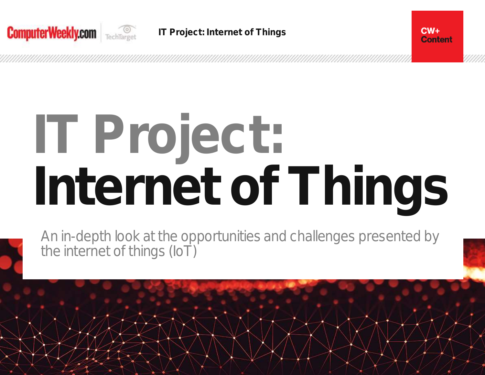

# **Content**

 $CW +$ 

# **IT Project: Internet of Things**

An in-depth look at the opportunities and challenges presented by the internet of things (IoT)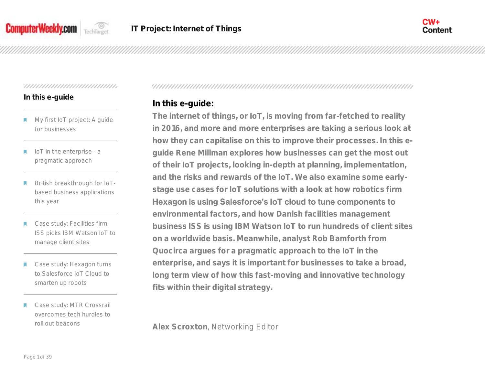



## **In this e-guide**

- My first IoT project: A guide for businesses
- IoT in the enterprise a М pragmatic approach
- British breakthrough for IoTbased business applications this year
- Case study: Facilities firm ISS picks IBM Watson IoT to manage client sites
- Case study: Hexagon turns to Salesforce IoT Cloud to smarten up robots
- Case study: MTR Crossrail overcomes tech hurdles to roll out beacons

# **In this e-guide:**

**The internet of things, or IoT, is moving from far-fetched to reality in 2016, and more and more enterprises are taking a serious look at how they can capitalise on this to improve their processes. In this eguide Rene Millman explores how businesses can get the most out of their IoT projects, looking in-depth at planning, implementation, and the risks and rewards of the IoT. We also examine some earlystage use cases for IoT solutions with a look at how robotics firm**  Hexagon is using Salesforce's loT cloud to tune components to **environmental factors, and how Danish facilities management business ISS is using IBM Watson IoT to run hundreds of client sites on a worldwide basis. Meanwhile, analyst Rob Bamforth from Quocirca argues for a pragmatic approach to the IoT in the enterprise, and says it is important for businesses to take a broad, long term view of how this fast-moving and innovative technology fits within their digital strategy.** 

**Alex Scroxton**, Networking Editor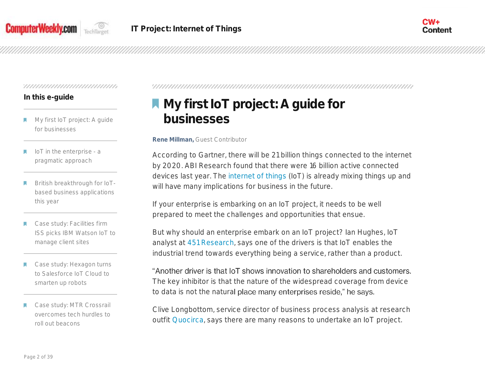



# **In this e-guide**

- My first IoT project: A guide for businesses
- IoT in the enterprise a pragmatic approach
- British breakthrough for IoTbased business applications this year
- Case study: Facilities firm ISS picks IBM Watson IoT to manage client sites
- Case study: Hexagon turns to Salesforce IoT Cloud to smarten up robots
- Case study: MTR Crossrail overcomes tech hurdles to roll out beacons

# **My first IoT project: A guide for businesses**

**Rene Millman,** Guest Contributor

According to Gartner, there will be 21 billion things connected to the internet by 2020. ABI Research found that there were 16 billion active connected devices last year. The [internet of things](http://www.computerweekly.com/resources/Internet-of-Things-IoT) (IoT) is already mixing things up and will have many implications for business in the future.

If your enterprise is embarking on an IoT project, it needs to be well prepared to meet the challenges and opportunities that ensue.

But why should an enterprise embark on an IoT project? Ian Hughes, IoT analyst at [451 Research,](http://www.computerweekly.com/news/450297187/European-cloud-buyers-unmoved-by-low-prices-suggests-451-Research) says one of the drivers is that IoT enables the industrial trend towards everything being a service, rather than a product.

"Another driver is that IoT shows innovation to shareholders and customers. The key inhibitor is that the nature of the widespread coverage from device to data is not the natural place many enterprises reside," he says.

Clive Longbottom, service director of business process analysis at research outfit [Quocirca,](http://www.computerweekly.com/opinion/Graph-databases-What-are-the-benefits-for-CIOs) says there are many reasons to undertake an IoT project.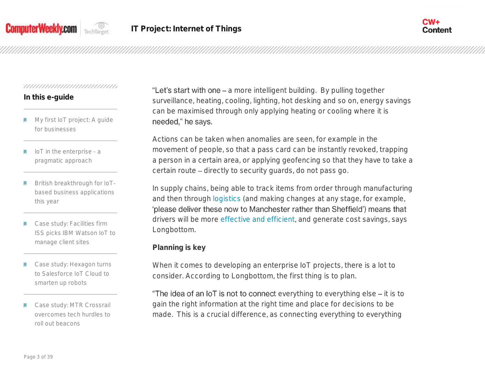



# **In this e-guide**

- My first IoT project: A guide for businesses
- IoT in the enterprise a pragmatic approach
- British breakthrough for IoTbased business applications this year
- Case study: Facilities firm ISS picks IBM Watson IoT to manage client sites
- Case study: Hexagon turns to Salesforce IoT Cloud to smarten up robots
- Case study: MTR Crossrail overcomes tech hurdles to roll out beacons

"Let's start with one – a more intelligent building. By pulling together surveillance, heating, cooling, lighting, hot desking and so on, energy savings can be maximised through only applying heating or cooling where it is needed," he says.

Actions can be taken when anomalies are seen, for example in the movement of people, so that a pass card can be instantly revoked, trapping a person in a certain area, or applying geofencing so that they have to take a certain route – directly to security guards, do not pass go.

In supply chains, being able to track items from order through manufacturing and then through [logistics](http://internetofthingsagenda.techtarget.com/blog/IoT-Agenda/IoT-in-Logistics-Barriers-to-collaboration) (and making changes at any stage, for example, 'please deliver these now to Manchester rather than Sheffield') means that drivers will be more [effective and efficient,](http://www.computerweekly.com/news/4500247012/CIO-interview-Adam-Gerrard-Yodel) and generate cost savings, says Longbottom.

# **Planning is key**

When it comes to developing an enterprise IoT projects, there is a lot to consider. According to Longbottom, the first thing is to plan.

"The idea of an  $I$  oT is not to connect everything to everything else  $-$  it is to gain the right information at the right time and place for decisions to be made. This is a crucial difference, as connecting everything to everything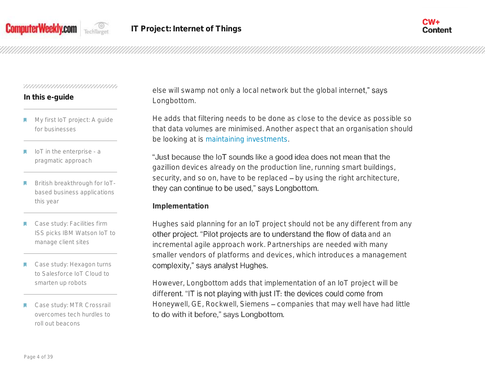



# **In this e-guide**

- My first IoT project: A guide for businesses
- IoT in the enterprise a pragmatic approach
- British breakthrough for IoTbased business applications this year
- Case study: Facilities firm ISS picks IBM Watson IoT to manage client sites
- Case study: Hexagon turns to Salesforce IoT Cloud to smarten up robots
- Case study: MTR Crossrail overcomes tech hurdles to roll out beacons

else will swamp not only a local network but the global internet," says Longbottom.

He adds that filtering needs to be done as close to the device as possible so that data volumes are minimised. Another aspect that an organisation should be looking at is [maintaining investments.](http://internetofthingsagenda.techtarget.com/blog/IoT-Agenda/IoT-Forever-Or-should-we-plan-for-end-of-life)

"Just because the IoT sounds like a good idea does not mean that the gazillion devices already on the production line, running smart buildings, security, and so on, have to be replaced - by using the right architecture, they can continue to be used," says Longbottom.

**Implementation**

Hughes said planning for an IoT project should not be any different from any other project. "Pilot projects are to understand the flow of data and an incremental agile approach work. Partnerships are needed with many smaller vendors of platforms and devices, which introduces a management complexity," says analyst Hughes.

However, Longbottom adds that implementation of an IoT project will be different. "IT is not playing with just IT: the devices could come from Honeywell, GE, Rockwell, Siemens - companies that may well have had little to do with it before," says Longbottom.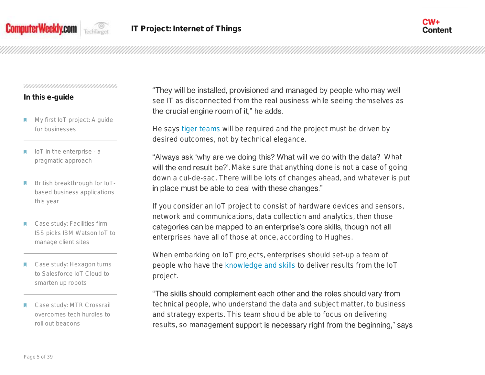



# **In this e-guide**

- My first IoT project: A guide for businesses
- IoT in the enterprise a pragmatic approach
- British breakthrough for IoTbased business applications this year
- Case study: Facilities firm ISS picks IBM Watson IoT to manage client sites
- Case study: Hexagon turns to Salesforce IoT Cloud to smarten up robots
- Case study: MTR Crossrail overcomes tech hurdles to roll out beacons

"They will be installed, provisioned and managed by people who may well see IT as disconnected from the real business while seeing themselves as the crucial engine room of it," he adds.

He says [tiger teams](http://whatis.techtarget.com/definition/tiger-team) will be required and the project must be driven by desired outcomes, not by technical elegance.

"Always ask 'why are we doing this? What will we do with the data? What will the end result be?'. Make sure that anything done is not a case of going down a cul-de-sac. There will be lots of changes ahead, and whatever is put in place must be able to deal with these changes."

If you consider an IoT project to consist of hardware devices and sensors, network and communications, data collection and analytics, then those categories can be mapped to an enterprise's core skills, though not all enterprises have all of those at once, according to Hughes.

When embarking on IoT projects, enterprises should set-up a team of people who have the [knowledge and skills](http://www.computerweekly.com/news/4500277871/IoT-adoption-held-back-by-lack-of-business-case-software-and-skills) to deliver results from the IoT project.

"The skills should complement each other and the roles should vary from technical people, who understand the data and subject matter, to business and strategy experts. This team should be able to focus on delivering results, so management support is necessary right from the beginning," says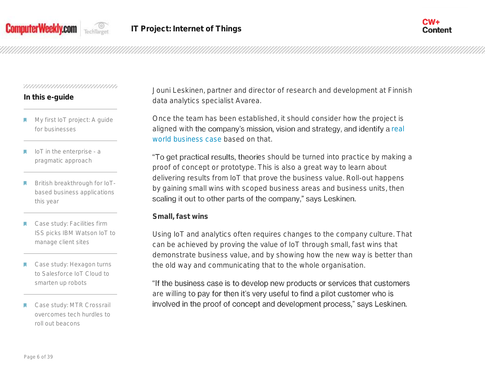



# **In this e-guide**

- My first IoT project: A guide for businesses
- IoT in the enterprise a pragmatic approach
- British breakthrough for IoTbased business applications this year
- Case study: Facilities firm ISS picks IBM Watson IoT to manage client sites
- Case study: Hexagon turns to Salesforce IoT Cloud to smarten up robots
- Case study: MTR Crossrail overcomes tech hurdles to roll out beacons

Jouni Leskinen, partner and director of research and development at Finnish data analytics specialist Avarea.

Once the team has been established, it should consider how the project is aligned with the company's mission, vision and strategy, and identify a real [world business case](http://internetofthingsagenda.techtarget.com/feature/CTO-No-compelling-IoT-business-case-for-healthcare-yet) based on that.

"To get practical results, theories should be turned into practice by making a proof of concept or prototype. This is also a great way to learn about delivering results from IoT that prove the business value. Roll-out happens by gaining small wins with scoped business areas and business units, then scaling it out to other parts of the company," says Leskinen.

**Small, fast wins**

Using IoT and analytics often requires changes to the company culture. That can be achieved by proving the value of IoT through small, fast wins that demonstrate business value, and by showing how the new way is better than the old way and communicating that to the whole organisation.

"If the business case is to develop new products or services that customers are willing to pay for then it's very useful to find a pilot customer who is involved in the proof of concept and development process," says Leskinen.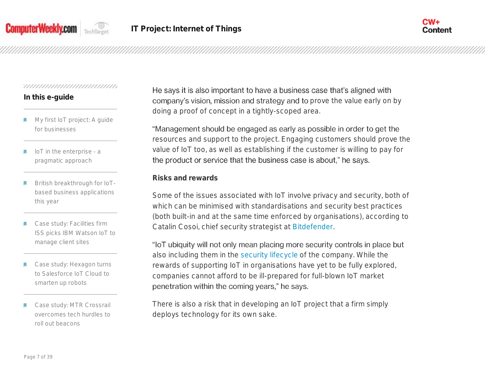



# **In this e-guide**

- My first IoT project: A guide for businesses
- IoT in the enterprise a pragmatic approach
- British breakthrough for IoTbased business applications this year
- Case study: Facilities firm ISS picks IBM Watson IoT to manage client sites
- Case study: Hexagon turns to Salesforce IoT Cloud to smarten up robots
- Case study: MTR Crossrail overcomes tech hurdles to roll out beacons

He says it is also important to have a business case that's aligned with company's vision, mission and strategy and to prove the value early on by doing a proof of concept in a tightly-scoped area.

"Management should be engaged as early as possible in order to get the resources and support to the project. Engaging customers should prove the value of IoT too, as well as establishing if the customer is willing to pay for the product or service that the business case is about," he says.

# **Risks and rewards**

Some of the issues associated with IoT involve privacy and security, both of which can be minimised with standardisations and security best practices (both built-in and at the same time enforced by organisations), according to Catalin Cosoi, chief security strategist at [Bitdefender.](http://www.computerweekly.com/news/4500272253/IoT-risks-raise-concerns-among-IT-specialists-in-CEE)

"loT ubiquity will not only mean placing more security controls in place but also including them in the [security lifecycle](http://internetofthingsagenda.techtarget.com/tip/Five-key-elements-of-securing-IoT-in-the-enterprise) of the company. While the rewards of supporting IoT in organisations have yet to be fully explored, companies cannot afford to be ill-prepared for full-blown IoT market penetration within the coming years," he says.

There is also a risk that in developing an IoT project that a firm simply deploys technology for its own sake.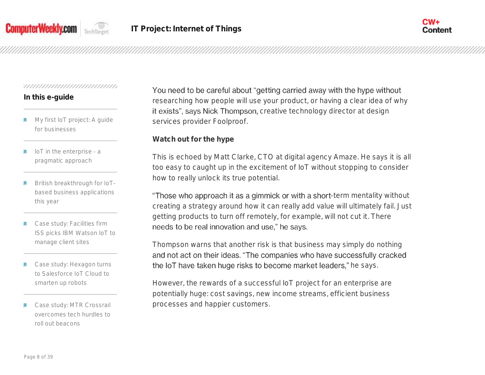



# **In this e-guide**

- My first IoT project: A guide for businesses
- IoT in the enterprise a pragmatic approach
- British breakthrough for IoTbased business applications this year
- Case study: Facilities firm ISS picks IBM Watson IoT to manage client sites
- Case study: Hexagon turns to Salesforce IoT Cloud to smarten up robots
- Case study: MTR Crossrail overcomes tech hurdles to roll out beacons

You need to be careful about "getting carried away with the hype without researching how people will use your product, or having a clear idea of why it exists", says Nick Thompson, creative technology director at design services provider Foolproof.

**Watch out for the hype**

This is echoed by Matt Clarke, CTO at digital agency Amaze. He says it is all too easy to caught up in the excitement of IoT without stopping to consider how to really unlock its true potential.

"Those who approach it as a gimmick or with a short-term mentality without creating a strategy around how it can really add value will ultimately fail. Just getting products to turn off remotely, for example, will not cut it. There needs to be real innovation and use," he says.

Thompson warns that another risk is that business may simply do nothing and not act on their ideas. "The companies who have successfully cracked the IoT have taken huge risks to become market leaders," he says.

However, the rewards of a successful IoT project for an enterprise are potentially huge: cost savings, new income streams, efficient business processes and happier customers.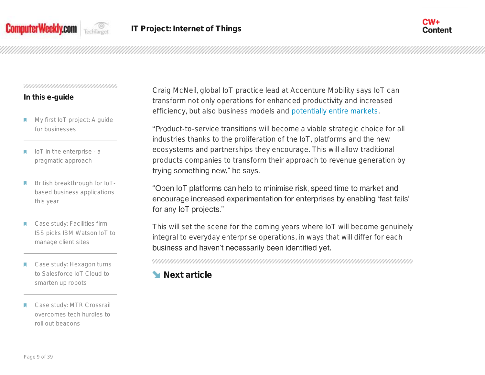



## **In this e-guide**

- My first IoT project: A guide for businesses
- IoT in the enterprise a pragmatic approach
- British breakthrough for IoTbased business applications this year
- Case study: Facilities firm ISS picks IBM Watson IoT to manage client sites
- Case study: Hexagon turns to Salesforce IoT Cloud to smarten up robots
- Case study: MTR Crossrail overcomes tech hurdles to roll out beacons

Craig McNeil, global IoT practice lead at Accenture Mobility says IoT can transform not only operations for enhanced productivity and increased efficiency, but also business models and [potentially entire markets.](http://www.computerweekly.com/feature/Inside-Taiwan-The-engine-room-of-the-internet-of-things)

"Product-to-service transitions will become a viable strategic choice for all industries thanks to the proliferation of the IoT, platforms and the new ecosystems and partnerships they encourage. This will allow traditional products companies to transform their approach to revenue generation by trying something new," he says.

"Open IoT platforms can help to minimise risk, speed time to market and encourage increased experimentation for enterprises by enabling 'fast fails' for any loT projects."

This will set the scene for the coming years where IoT will become genuinely integral to everyday enterprise operations, in ways that will differ for each business and haven't necessarily been identified yet.

**Next article**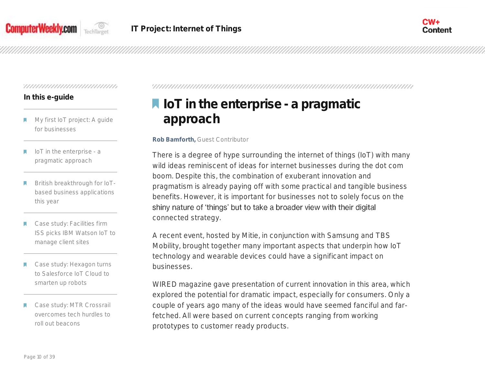



## **In this e-guide**

- My first IoT project: A guide for businesses
- IoT in the enterprise a pragmatic approach
- British breakthrough for IoTbased business applications this year
- Case study: Facilities firm ISS picks IBM Watson IoT to manage client sites
- Case study: Hexagon turns to Salesforce IoT Cloud to smarten up robots
- Case study: MTR Crossrail overcomes tech hurdles to roll out beacons

# **IoT in the enterprise - a pragmatic approach**

**Rob Bamforth,** Guest Contributor

There is a degree of hype surrounding the internet of things (IoT) with many wild ideas reminiscent of ideas for internet businesses during the dot com boom. Despite this, the combination of exuberant innovation and pragmatism is already paying off with some practical and tangible business benefits. However, it is important for businesses not to solely focus on the shiny nature of 'things' but to take a broader view with their digital connected strategy.

A recent event, hosted by Mitie, in conjunction with Samsung and TBS Mobility, brought together many important aspects that underpin how IoT technology and wearable devices could have a significant impact on businesses.

WIRED magazine gave presentation of current innovation in this area, which explored the potential for dramatic impact, especially for consumers. Only a couple of years ago many of the ideas would have seemed fanciful and farfetched. All were based on current concepts ranging from working prototypes to customer ready products.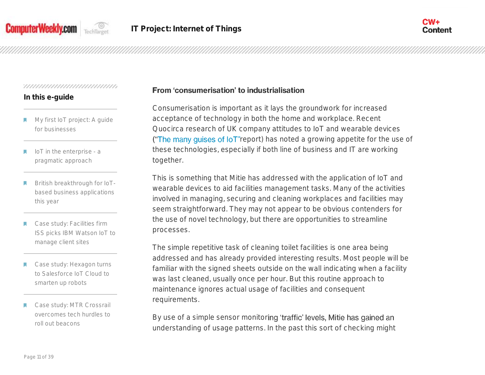

# **In this e-guide**

- My first IoT project: A guide for businesses
- IoT in the enterprise a pragmatic approach
- British breakthrough for IoTbased business applications this year
- Case study: Facilities firm ISS picks IBM Watson IoT to manage client sites
- Case study: Hexagon turns to Salesforce IoT Cloud to smarten up robots
- Case study: MTR Crossrail overcomes tech hurdles to roll out beacons

# From 'consumerisation' to industrialisation

Consumerisation is important as it lays the groundwork for increased acceptance of technology in both the home and workplace. Recent Quocirca research of UK company attitudes to IoT and wearable devices ("The many guises of loT"[r](http://quocirca.com/content/many-guises-iot)eport) has noted a growing appetite for the use of these technologies, especially if both line of business and IT are working together.

This is something that Mitie has addressed with the application of IoT and wearable devices to aid facilities management tasks. Many of the activities involved in managing, securing and cleaning workplaces and facilities may seem straightforward. They may not appear to be obvious contenders for the use of novel technology, but there are opportunities to streamline processes.

The simple repetitive task of cleaning toilet facilities is one area being addressed and has already provided interesting results. Most people will be familiar with the signed sheets outside on the wall indicating when a facility was last cleaned, usually once per hour. But this routine approach to maintenance ignores actual usage of facilities and consequent requirements.

By use of a simple sensor monitoring 'traffic' levels, Mitie has gained an understanding of usage patterns. In the past this sort of checking might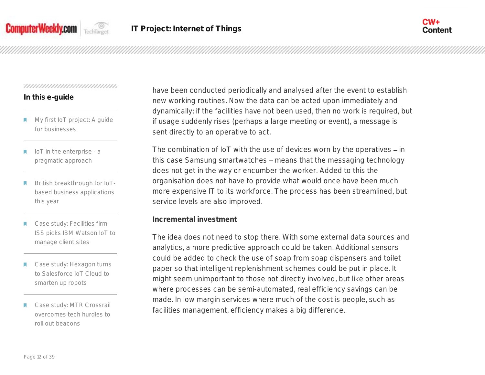

## **In this e-guide**

- My first IoT project: A guide for businesses
- IoT in the enterprise a pragmatic approach
- British breakthrough for IoTbased business applications this year
- Case study: Facilities firm ISS picks IBM Watson IoT to manage client sites
- Case study: Hexagon turns to Salesforce IoT Cloud to smarten up robots
- Case study: MTR Crossrail overcomes tech hurdles to roll out beacons

have been conducted periodically and analysed after the event to establish new working routines. Now the data can be acted upon immediately and dynamically; if the facilities have not been used, then no work is required, but if usage suddenly rises (perhaps a large meeting or event), a message is sent directly to an operative to act.

The combination of IoT with the use of devices worn by the operatives  $-$  in this case Samsung smartwatches - means that the messaging technology does not get in the way or encumber the worker. Added to this the organisation does not have to provide what would once have been much more expensive IT to its workforce. The process has been streamlined, but service levels are also improved.

**Incremental investment**

The idea does not need to stop there. With some external data sources and analytics, a more predictive approach could be taken. Additional sensors could be added to check the use of soap from soap dispensers and toilet paper so that intelligent replenishment schemes could be put in place. It might seem unimportant to those not directly involved, but like other areas where processes can be semi-automated, real efficiency savings can be made. In low margin services where much of the cost is people, such as facilities management, efficiency makes a big difference.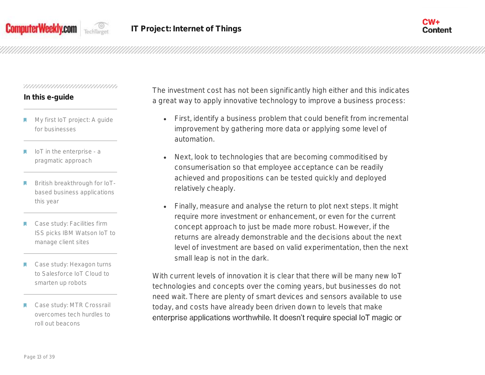



# **In this e-guide**

- My first IoT project: A guide for businesses
- IoT in the enterprise a pragmatic approach
- British breakthrough for IoTbased business applications this year
- Case study: Facilities firm ISS picks IBM Watson IoT to manage client sites
- Case study: Hexagon turns to Salesforce IoT Cloud to smarten up robots
- Case study: MTR Crossrail overcomes tech hurdles to roll out beacons

The investment cost has not been significantly high either and this indicates a great way to apply innovative technology to improve a business process:

- First, identify a business problem that could benefit from incremental improvement by gathering more data or applying some level of automation.
- Next, look to technologies that are becoming commoditised by consumerisation so that employee acceptance can be readily achieved and propositions can be tested quickly and deployed relatively cheaply.
- Finally, measure and analyse the return to plot next steps. It might require more investment or enhancement, or even for the current concept approach to just be made more robust. However, if the returns are already demonstrable and the decisions about the next level of investment are based on valid experimentation, then the next small leap is not in the dark.

With current levels of innovation it is clear that there will be many new IoT technologies and concepts over the coming years, but businesses do not need wait. There are plenty of smart devices and sensors available to use today, and costs have already been driven down to levels that make enterprise applications worthwhile. It doesn't require special IoT magic or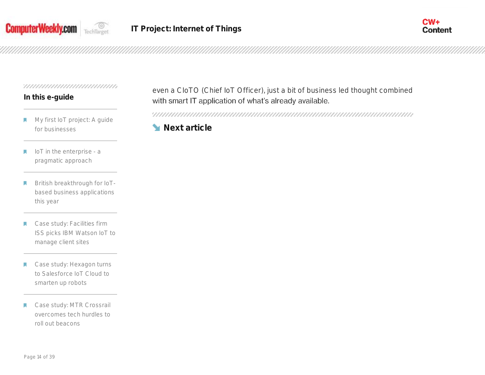



# **In this e-guide**

- My first IoT project: A guide м for businesses
- IoT in the enterprise a М pragmatic approach
- British breakthrough for IoT-П based business applications this year
- Case study: Facilities firm W ISS picks IBM Watson IoT to manage client sites
- Case study: Hexagon turns K to Salesforce IoT Cloud to smarten up robots
- Case study: MTR Crossrail М overcomes tech hurdles to roll out beacons

even a CIoTO (Chief IoT Officer), just a bit of business led thought combined with smart IT application of what's already available.

**Next article**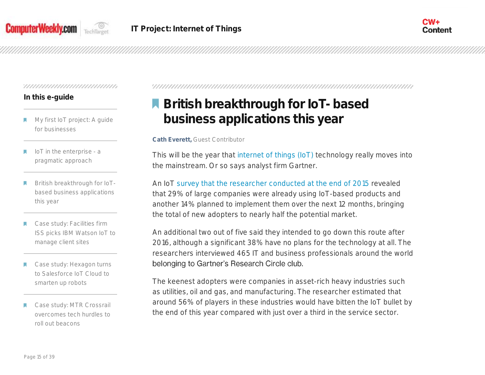



## **In this e-guide**

- My first IoT project: A guide for businesses
- IoT in the enterprise a pragmatic approach
- British breakthrough for IoTbased business applications this year
- Case study: Facilities firm ISS picks IBM Watson IoT to manage client sites
- Case study: Hexagon turns to Salesforce IoT Cloud to smarten up robots
- Case study: MTR Crossrail overcomes tech hurdles to roll out beacons

# **British breakthrough for IoT- based business applications this year**

#### **Cath Everett,** Guest Contributor

This will be the year that [internet of things \(IoT\)](http://internetofthingsagenda.techtarget.com/definition/Internet-of-Things-IoT) technology really moves into the mainstream. Or so says analyst firm Gartner.

An IoT [survey that the researcher conducted at the end of 2015](http://www.gartner.com/newsroom/id/3236718) revealed that 29% of large companies were already using IoT-based products and another 14% planned to implement them over the next 12 months, bringing the total of new adopters to nearly half the potential market.

An additional two out of five said they intended to go down this route after 2016, although a significant 38% have no plans for the technology at all. The researchers interviewed 465 IT and business professionals around the world belonging to Gartner's Research Circle club.

The keenest adopters were companies in asset-rich heavy industries such as utilities, oil and gas, and manufacturing. The researcher estimated that around 56% of players in these industries would have bitten the IoT bullet by the end of this year compared with just over a third in the service sector.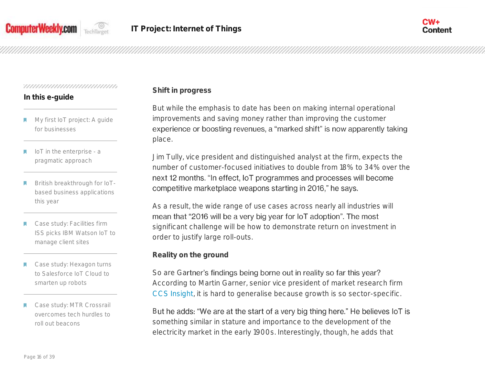



# **In this e-guide**

- My first IoT project: A guide for businesses
- IoT in the enterprise a pragmatic approach
- British breakthrough for IoTbased business applications this year
- Case study: Facilities firm ISS picks IBM Watson IoT to manage client sites
- Case study: Hexagon turns to Salesforce IoT Cloud to smarten up robots
- Case study: MTR Crossrail overcomes tech hurdles to roll out beacons

# **Shift in progress**

But while the emphasis to date has been on making internal operational improvements and saving money rather than improving the customer experience or boosting revenues, a "marked shift" is now apparently taking place.

Jim Tully, vice president and distinguished analyst at the firm, expects the number of customer-focused initiatives to double from 18% to 34% over the next 12 months. "In effect, IoT programmes and processes will become competitive marketplace weapons starting in 2016," he says.

As a result, the wide range of use cases across nearly all industries will mean that "2016 will be a very big year for loT adoption". The most significant challenge will be how to demonstrate return on investment in order to justify large roll-outs.

**Reality on the ground**

So are Gartner's findings being borne out in reality so far this year? According to Martin Garner, senior vice president of market research firm [CCS Insight,](http://www.ccsinsight.com/) it is hard to generalise because growth is so sector-specific.

But he adds: "We are at the start of a very big thing here." He believes IoT is something similar in stature and importance to the development of the electricity market in the early 1900s. Interestingly, though, he adds that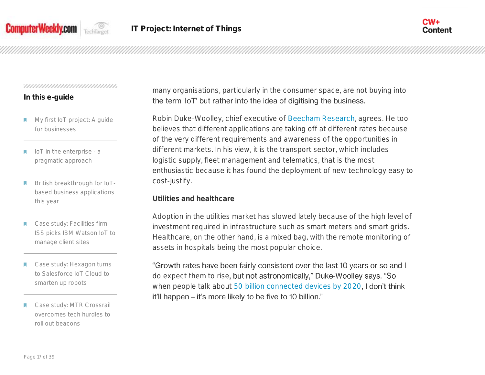



## **In this e-guide**

- My first IoT project: A guide for businesses
- IoT in the enterprise a pragmatic approach
- British breakthrough for IoTbased business applications this year
- Case study: Facilities firm ISS picks IBM Watson IoT to manage client sites
- Case study: Hexagon turns to Salesforce IoT Cloud to smarten up robots
- Case study: MTR Crossrail overcomes tech hurdles to roll out beacons

many organisations, particularly in the consumer space, are not buying into the term 'loT' but rather into the idea of digitising the business.

Robin Duke-Woolley, chief executive of [Beecham Research,](http://www.beechamresearch.com/) agrees. He too believes that different applications are taking off at different rates because of the very different requirements and awareness of the opportunities in different markets. In his view, it is the transport sector, which includes logistic supply, fleet management and telematics, that is the most enthusiastic because it has found the deployment of new technology easy to cost-justify.

**Utilities and healthcare**

Adoption in the utilities market has slowed lately because of the high level of investment required in infrastructure such as smart meters and smart grids. Healthcare, on the other hand, is a mixed bag, with the remote monitoring of assets in hospitals being the most popular choice.

"Growth rates have been fairly consistent over the last 10 years or so and I do expect them to rise, but not astronomically," Duke-Woolley says. "So when people talk about [50 billion connected devices by 2020](http://www.structureconnect.com/prediction-there-wont-be-50b-connected-iot-devices-by-2020/), I don't think it'll happen – it's more likely to be five to 10 billion."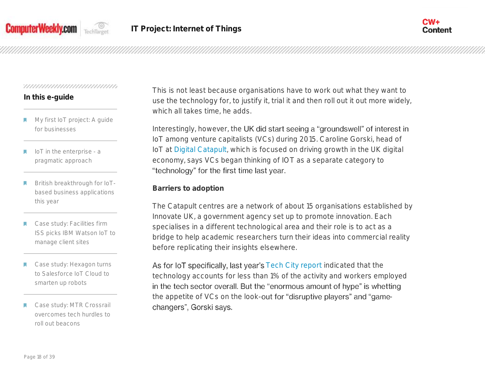



# **In this e-guide**

- My first IoT project: A guide for businesses
- IoT in the enterprise a pragmatic approach
- British breakthrough for IoTbased business applications this year
- Case study: Facilities firm ISS picks IBM Watson IoT to manage client sites
- Case study: Hexagon turns to Salesforce IoT Cloud to smarten up robots
- Case study: MTR Crossrail overcomes tech hurdles to roll out beacons

This is not least because organisations have to work out what they want to use the technology for, to justify it, trial it and then roll out it out more widely, which all takes time, he adds.

Interestingly, however, the UK did start seeing a "groundswell" of interest in IoT among venture capitalists (VCs) during 2015. Caroline Gorski, head of IoT at [Digital Catapult,](https://digital.catapult.org.uk/about/) which is focused on driving growth in the UK digital economy, says VCs began thinking of IOT as a separate category to "technology" for the first time last year.

**Barriers to adoption**

The Catapult centres are a network of about 15 organisations established by Innovate UK, a government agency set up to promote innovation. Each specialises in a different technological area and their role is to act as a bridge to help academic researchers turn their ideas into commercial reality before replicating their insights elsewhere.

As for IoT specifically, last year's [Tech City report](http://www.techcityuk.com/wp-content/uploads/2015/02/Tech%20Nation%202015.pdf) indicated that the technology accounts for less than 1% of the activity and workers employed in the tech sector overall. But the "enormous amount of hype" is whetting the appetite of VCs on the look-out for "disruptive players" and "gamechangers", Gorski says.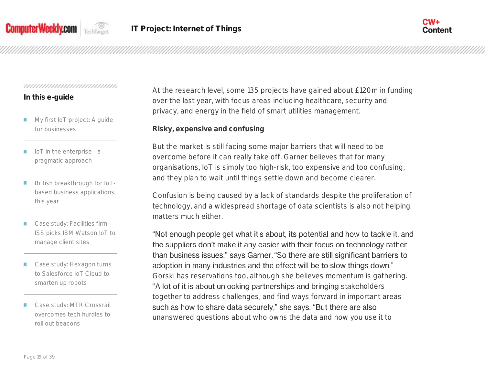



## **In this e-guide**

- My first IoT project: A guide for businesses
- IoT in the enterprise a pragmatic approach
- British breakthrough for IoTbased business applications this year
- Case study: Facilities firm ISS picks IBM Watson IoT to manage client sites
- Case study: Hexagon turns to Salesforce IoT Cloud to smarten up robots
- Case study: MTR Crossrail overcomes tech hurdles to roll out beacons

At the research level, some 135 projects have gained about £120m in funding over the last year, with focus areas including healthcare, security and privacy, and energy in the field of smart utilities management.

**Risky, expensive and confusing**

But the market is still facing some major barriers that will need to be overcome before it can really take off. Garner believes that for many organisations, IoT is simply too high-risk, too expensive and too confusing, and they plan to wait until things settle down and become clearer.

Confusion is being caused by a lack of standards despite the proliferation of technology, and a widespread shortage of data scientists is also not helping matters much either.

"Not enough people get what it's about, its potential and how to tackle it, and the suppliers don't make it any easier with their focus on technology rather than business issues," says Garner. "So there are still significant barriers to adoption in many industries and the effect will be to slow things down." Gorski has reservations too, although she believes momentum is gathering. "A lot of it is about unlocking partnerships and bringing stakeholders together to address challenges, and find ways forward in important areas such as how to share data securely," she says. "But there are also unanswered questions about who owns the data and how you use it to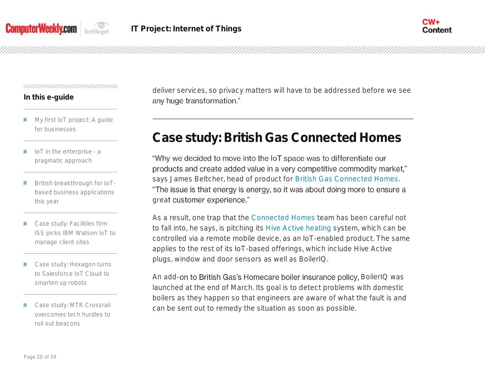



# **In this e-guide**

- My first IoT project: A guide for businesses
- IoT in the enterprise a pragmatic approach
- British breakthrough for IoTbased business applications this year
- Case study: Facilities firm ISS picks IBM Watson IoT to manage client sites
- Case study: Hexagon turns to Salesforce IoT Cloud to smarten up robots
- Case study: MTR Crossrail overcomes tech hurdles to roll out beacons

deliver services, so privacy matters will have to be addressed before we see any huge transformation."

# **Case study: British Gas Connected Homes**

"Why we decided to move into the IoT space was to differentiate our products and create added value in a very competitive commodity market," says James Beltcher, head of product for [British Gas Connected Homes.](https://www.britishgas.co.uk/the-source/your-home/smarter-living/a-giant-leap-for-the-connected-home) "The issue is that energy is energy, so it was about doing more to ensure a great customer experience."

As a result, one trap that the [Connected Homes](http://www.computerweekly.com/video/CW500-Video-Christopher-Livermore-head-of-operations-British-Gas-Connected-Homes) team has been careful not to fall into, he says, is pitching its [Hive Active heating](https://www.britishgas.co.uk/products-and-services/hive-active-heating.html) system, which can be controlled via a remote mobile device, as an IoT-enabled product. The same applies to the rest of its IoT-based offerings, which include Hive Active plugs, window and door sensors as well as BoilerIQ.

An add-on to British Gas's Homecare boiler insurance policy, BoilerIQ was launched at the end of March. Its goal is to detect problems with domestic boilers as they happen so that engineers are aware of what the fault is and can be sent out to remedy the situation as soon as possible.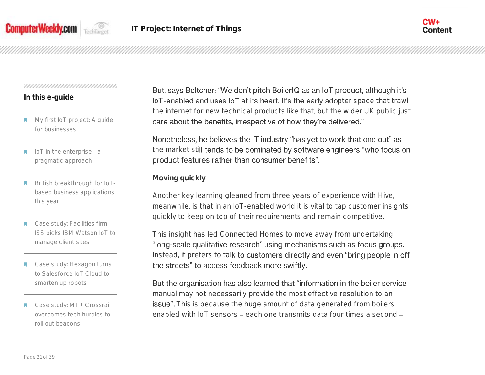



# **In this e-guide**

- My first IoT project: A guide for businesses
- IoT in the enterprise a pragmatic approach
- British breakthrough for IoTbased business applications this year
- Case study: Facilities firm ISS picks IBM Watson IoT to manage client sites
- Case study: Hexagon turns to Salesforce IoT Cloud to smarten up robots
- Case study: MTR Crossrail overcomes tech hurdles to roll out beacons

But, says Beltcher: "We don't pitch BoilerIQ as an IoT product, although it's IoT-enabled and uses IoT at its heart. It's the early adopter space that trawl the internet for new technical products like that, but the wider UK public just care about the benefits, irrespective of how they're delivered."

Nonetheless, he believes the IT industry "has yet to work that one out" as the market still tends to be dominated by software engineers "who focus on product features rather than consumer benefits".

# **Moving quickly**

Another key learning gleaned from three years of experience with Hive, meanwhile, is that in an IoT-enabled world it is vital to tap customer insights quickly to keep on top of their requirements and remain competitive.

This insight has led Connected Homes to move away from undertaking "long-scale qualitative research" using mechanisms such as focus groups. Instead, it prefers to talk to customers directly and even "bring people in off the streets" to access feedback more swiftly.

But the organisation has also learned that "information in the boiler service manual may not necessarily provide the most effective resolution to an issue". This is because the huge amount of data generated from boilers enabled with IoT sensors each one transmits data four times a second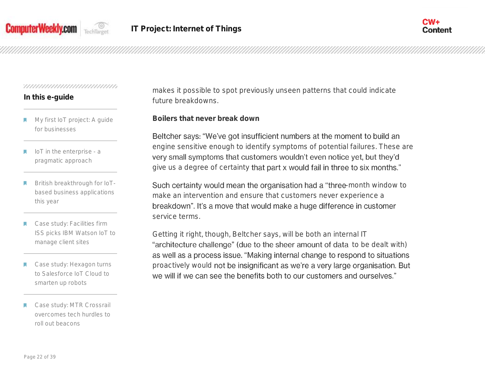



# **In this e-guide**

- My first IoT project: A guide for businesses
- IoT in the enterprise a pragmatic approach
- British breakthrough for IoTbased business applications this year
- Case study: Facilities firm ISS picks IBM Watson IoT to manage client sites
- Case study: Hexagon turns to Salesforce IoT Cloud to smarten up robots
- Case study: MTR Crossrail overcomes tech hurdles to roll out beacons

makes it possible to spot previously unseen patterns that could indicate future breakdowns.

**Boilers that never break down**

Beltcher says: "We've got insufficient numbers at the moment to build an engine sensitive enough to identify symptoms of potential failures. These are very small symptoms that customers wouldn't even notice yet, but they'd give us a degree of certainty that part x would fail in three to six months."

Such certainty would mean the organisation had a "three-month window to make an intervention and ensure that customers never experience a breakdown". It's a move that would make a huge difference in customer service terms.

Getting it right, though, Beltcher says, will be both an internal IT "architecture challenge" (due to the sheer amount of data to be dealt with) as well as a process issue. "Making internal change to respond to situations proactively would not be insignificant as we're a very large organisation. But we will if we can see the benefits both to our customers and ourselves."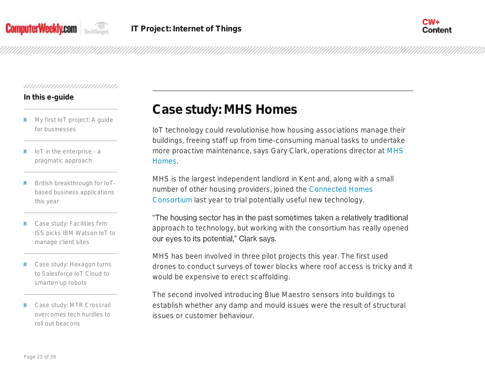

# **In this e-guide**

- My first IoT project: A guide for businesses
- IoT in the enterprise a pragmatic approach
- British breakthrough for IoTbased business applications this year
- Case study: Facilities firm ISS picks IBM Watson IoT to manage client sites
- Case study: Hexagon turns to Salesforce IoT Cloud to smarten up robots
- Case study: MTR Crossrail overcomes tech hurdles to roll out beacons

# **Case study: MHS Homes**

IoT technology could revolutionise how housing associations manage their buildings, freeing staff up from time-consuming manual tasks to undertake more proactive maintenance, says Gary Clark, operations director at [MHS](http://www.mhs.org.uk/)  [Homes.](http://www.mhs.org.uk/)

MHS is the largest independent landlord in Kent and, along with a small number of other housing providers, joined the [Connected Homes](http://www.hact.org.uk/connected-home-consortium)  [Consortium](http://www.hact.org.uk/connected-home-consortium) last year to trial potentially useful new technology.

"The housing sector has in the past sometimes taken a relatively traditional approach to technology, but working with the consortium has really opened our eyes to its potential," Clark says.

MHS has been involved in three pilot projects this year. The first used drones to conduct surveys of tower blocks where roof access is tricky and it would be expensive to erect scaffolding.

The second involved introducing Blue Maestro sensors into buildings to establish whether any damp and mould issues were the result of structural issues or customer behaviour.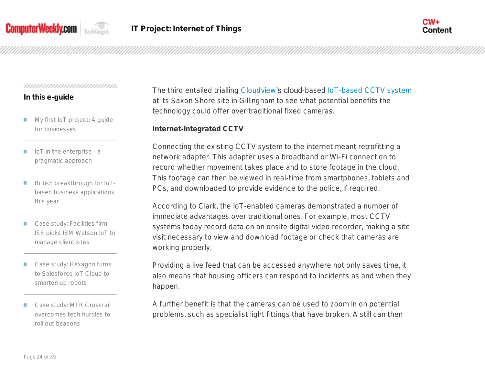



## **In this e-guide**

- My first IoT project: A guide for businesses
- IoT in the enterprise a pragmatic approach
- British breakthrough for IoTbased business applications this year
- Case study: Facilities firm ISS picks IBM Watson IoT to manage client sites
- Case study: Hexagon turns to Salesforce IoT Cloud to smarten up robots
- Case study: MTR Crossrail overcomes tech hurdles to roll out beacons

The third entailed trialling [Cloudview](http://cloudview.co/)'s cloud-based [IoT-based CCTV](http://whatis.techtarget.com/definition/IP-surveillance) system at its Saxon Shore site in Gillingham to see what potential benefits the technology could offer over traditional fixed cameras.

**Internet-integrated CCTV**

Connecting the existing CCTV system to the internet meant retrofitting a network adapter. This adapter uses a broadband or Wi-Fi connection to record whether movement takes place and to store footage in the cloud. This footage can then be viewed in real-time from smartphones, tablets and PCs, and downloaded to provide evidence to the police, if required.

According to Clark, the IoT-enabled cameras demonstrated a number of immediate advantages over traditional ones. For example, most CCTV systems today record data on an onsite digital video recorder, making a site visit necessary to view and download footage or check that cameras are working properly.

Providing a live feed that can be accessed anywhere not only saves time, it also means that housing officers can respond to incidents as and when they happen.

A further benefit is that the cameras can be used to zoom in on potential problems, such as specialist light fittings that have broken. A still can then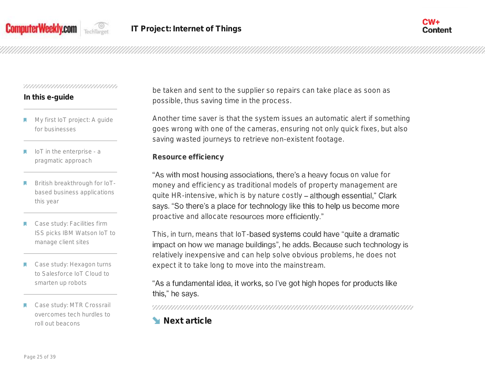



# **In this e-guide**

- My first IoT project: A guide for businesses
- IoT in the enterprise a pragmatic approach
- British breakthrough for IoTbased business applications this year
- Case study: Facilities firm ISS picks IBM Watson IoT to manage client sites
- Case study: Hexagon turns to Salesforce IoT Cloud to smarten up robots
- Case study: MTR Crossrail overcomes tech hurdles to roll out beacons

be taken and sent to the supplier so repairs can take place as soon as possible, thus saving time in the process.

Another time saver is that the system issues an automatic alert if something goes wrong with one of the cameras, ensuring not only quick fixes, but also saving wasted journeys to retrieve non-existent footage.

**Resource efficiency**

"As with most housing associations, there's a heavy focus on value for money and efficiency as traditional models of property management are quite HR-intensive, which is by nature costly - although essential," Clark says. "So there's a place for technology like this to help us become more proactive and allocate resources more efficiently."

This, in turn, means that IoT-based systems could have "quite a dramatic impact on how we manage buildings", he adds. Because such technology is relatively inexpensive and can help solve obvious problems, he does not expect it to take long to move into the mainstream.

# "As a fundamental idea, it works, so I've got high hopes for products like this," he says.

**Next article**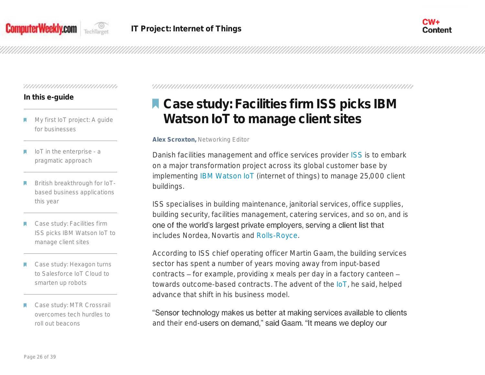

# **In this e-guide**

- My first IoT project: A guide for businesses
- IoT in the enterprise a pragmatic approach
- British breakthrough for IoTbased business applications this year
- Case study: Facilities firm ISS picks IBM Watson IoT to manage client sites
- Case study: Hexagon turns to Salesforce IoT Cloud to smarten up robots
- Case study: MTR Crossrail overcomes tech hurdles to roll out beacons

# **A Case study: Facilities firm ISS picks IBM Watson IoT to manage client sites**

#### **Alex Scroxton,** Networking Editor

Danish facilities management and office services provider [ISS](http://www.uk.issworld.com/) is to embark on a major transformation project across its global customer base by implementing [IBM Watson IoT](http://internetofthingsagenda.techtarget.com/blog/IoT-Agenda/IBMs-Watson-IoT-expansion-Nexus-of-the-future) (internet of things) to manage 25,000 client buildings.

ISS specialises in building maintenance, janitorial services, office supplies, building security, facilities management, catering services, and so on, and is one of the world's largest private employers, serving a client list that includes Nordea, Novartis and [Rolls-Royce.](http://www.computerweekly.com/news/4500249521/Rolls-Royce-signs-up-to-supercomputing-on-demand-from-HPC-Midlands)

According to ISS chief operating officer Martin Gaam, the building services sector has spent a number of years moving away from input-based contracts - for example, providing x meals per day in a factory canteen towards outcome-based contracts. The advent of the [IoT,](http://www.computerweekly.com/resources/Internet-of-Things-IoT) he said, helped advance that shift in his business model.

"Sensor technology makes us better at making services available to clients and their end-users on demand," said Gaam. "It means we deploy our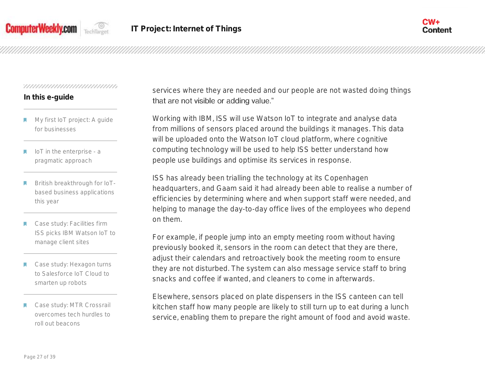



# **In this e-guide**

- My first IoT project: A guide for businesses
- IoT in the enterprise a pragmatic approach
- British breakthrough for IoTbased business applications this year
- Case study: Facilities firm ISS picks IBM Watson IoT to manage client sites
- Case study: Hexagon turns to Salesforce IoT Cloud to smarten up robots
- Case study: MTR Crossrail overcomes tech hurdles to roll out beacons

services where they are needed and our people are not wasted doing things that are not visible or adding value."

Working with IBM, ISS will use Watson IoT to integrate and analyse data from millions of sensors placed around the buildings it manages. This data will be uploaded onto the Watson IoT cloud platform, where cognitive computing technology will be used to help ISS better understand how people use buildings and optimise its services in response.

ISS has already been trialling the technology at its Copenhagen headquarters, and Gaam said it had already been able to realise a number of efficiencies by determining where and when support staff were needed, and helping to manage the day-to-day office lives of the employees who depend on them.

For example, if people jump into an empty meeting room without having previously booked it, sensors in the room can detect that they are there, adjust their calendars and retroactively book the meeting room to ensure they are not disturbed. The system can also message service staff to bring snacks and coffee if wanted, and cleaners to come in afterwards.

Elsewhere, sensors placed on plate dispensers in the ISS canteen can tell kitchen staff how many people are likely to still turn up to eat during a lunch service, enabling them to prepare the right amount of food and avoid waste.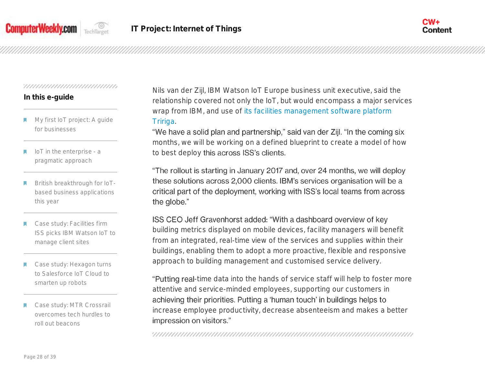



# **In this e-guide**

- My first IoT project: A guide for businesses
- IoT in the enterprise a pragmatic approach
- British breakthrough for IoTbased business applications this year
- Case study: Facilities firm ISS picks IBM Watson IoT to manage client sites
- Case study: Hexagon turns to Salesforce IoT Cloud to smarten up robots
- Case study: MTR Crossrail overcomes tech hurdles to roll out beacons

Nils van der Zijl, IBM Watson IoT Europe business unit executive, said the relationship covered not only the IoT, but would encompass a major services wrap from IBM, and use of [its facilities management software platform](http://www.computerweekly.com/feature/Evolving-ITSM-to-support-agile-IT-and-BYOD)  [Tririga.](http://www.computerweekly.com/feature/Evolving-ITSM-to-support-agile-IT-and-BYOD)

"We have a solid plan and partnership," said van der Zijl. "In the coming six months, we will be working on a defined blueprint to create a model of how to best deploy this across ISS's clients.

"The rollout is starting in January 2017 and, over 24 months, we will deploy these solutions across 2,000 clients. IBM's services organisation will be a critical part of the deployment, working with ISS's local teams from across the globe."

# ISS CEO Jeff Gravenhorst added: "With a dashboard overview of key

building metrics displayed on mobile devices, facility managers will benefit from an integrated, real-time view of the services and supplies within their buildings, enabling them to adopt a more proactive, flexible and responsive approach to building management and customised service delivery.

"Putting real-time data into the hands of service staff will help to foster more attentive and service-minded employees, supporting our customers in achieving their priorities. Putting a 'human touch' in buildings helps to increase employee productivity, decrease absenteeism and makes a better impression on visitors."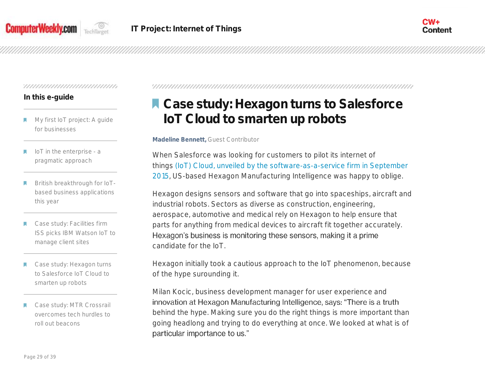



#### **In this e-guide**

- My first IoT project: A guide for businesses
- IoT in the enterprise a pragmatic approach
- British breakthrough for IoTbased business applications this year
- Case study: Facilities firm ISS picks IBM Watson IoT to manage client sites
- Case study: Hexagon turns to Salesforce IoT Cloud to smarten up robots
- Case study: MTR Crossrail overcomes tech hurdles to roll out beacons

# **A Case study: Hexagon turns to Salesforce IoT Cloud to smarten up robots**

#### **Madeline Bennett,** Guest Contributor

When Salesforce was looking for customers to pilot its internet of things [\(IoT\) Cloud, unveiled by the software-as-a-service firm in September](http://searchsalesforce.techtarget.com/news/4500253826/Microsoft-Salesforce-partnership-paves-way-for-Salesforce-IoT-Cloud)  [2015,](http://searchsalesforce.techtarget.com/news/4500253826/Microsoft-Salesforce-partnership-paves-way-for-Salesforce-IoT-Cloud) US-based Hexagon Manufacturing Intelligence was happy to oblige.

Hexagon designs sensors and software that go into spaceships, aircraft and industrial robots. Sectors as diverse as construction, engineering, aerospace, automotive and medical rely on Hexagon to help ensure that parts for anything from medical devices to aircraft fit together accurately. Hexagon's business is monitoring these sensors, making it a prime candidate for the IoT.

Hexagon initially took a cautious approach to the IoT phenomenon, because of the hype surounding it.

Milan Kocic, business development manager for user experience and innovation at Hexagon Manufacturing Intelligence, says: "There is a truth behind the hype. Making sure you do the right things is more important than going headlong and trying to do everything at once. We looked at what is of particular importance to us."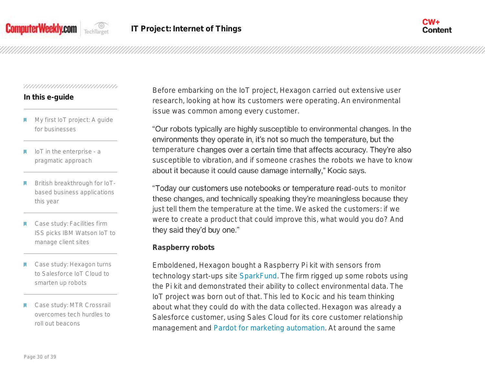



## **In this e-guide**

- My first IoT project: A guide for businesses
- IoT in the enterprise a pragmatic approach
- British breakthrough for IoTbased business applications this year
- Case study: Facilities firm ISS picks IBM Watson IoT to manage client sites
- Case study: Hexagon turns to Salesforce IoT Cloud to smarten up robots
- Case study: MTR Crossrail overcomes tech hurdles to roll out beacons

Before embarking on the IoT project, Hexagon carried out extensive user research, looking at how its customers were operating. An environmental issue was common among every customer.

"Our robots typically are highly susceptible to environmental changes. In the environments they operate in, it's not so much the temperature, but the temperature changes over a certain time that affects accuracy. They're also susceptible to vibration, and if someone crashes the robots we have to know about it because it could cause damage internally," Kocic says.

"Today our customers use notebooks or temperature read-outs to monitor these changes, and technically speaking they're meaningless because they just tell them the temperature at the time. We asked the customers: if we were to create a product that could improve this, what would you do? And they said they'd buy one."

# **Raspberry robots**

Emboldened, Hexagon bought a Raspberry Pi kit with sensors from technology start-ups site [SparkFund.](https://www.sparkfund.co/) The firm rigged up some robots using the Pi kit and demonstrated their ability to collect environmental data. The IoT project was born out of that. This led to Kocic and his team thinking about what they could do with the data collected. Hexagon was already a Salesforce customer, using Sales Cloud for its core customer relationship management and [Pardot for marketing automation.](http://searchsalesforce.techtarget.com/resources/Salesforce-Marketing-Automation-Software) At around the same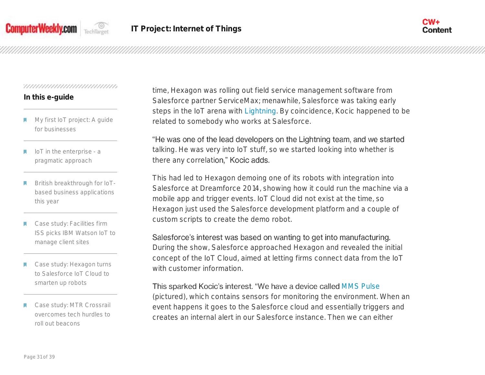



## **In this e-guide**

- My first IoT project: A guide for businesses
- IoT in the enterprise a pragmatic approach
- British breakthrough for IoTbased business applications this year
- Case study: Facilities firm ISS picks IBM Watson IoT to manage client sites
- Case study: Hexagon turns to Salesforce IoT Cloud to smarten up robots
- Case study: MTR Crossrail overcomes tech hurdles to roll out beacons

time, Hexagon was rolling out field service management software from Salesforce partner ServiceMax; menawhile, Salesforce was taking early steps in the IoT arena with [Lightning.](http://whatis.techtarget.com/definition/Lightning-Salesforce1-Lightning) By coincidence, Kocic happened to be related to somebody who works at Salesforce.

"He was one of the lead developers on the Lightning team, and we started talking. He was very into IoT stuff, so we started looking into whether is there any correlation," Kocic adds.

This had led to Hexagon demoing one of its robots with integration into Salesforce at Dreamforce 2014, showing how it could run the machine via a mobile app and trigger events. IoT Cloud did not exist at the time, so Hexagon just used the Salesforce development platform and a couple of custom scripts to create the demo robot.

# Salesforce's interest was based on wanting to get into manufacturing.

During the show, Salesforce approached Hexagon and revealed the initial concept of the IoT Cloud, aimed at letting firms connect data from the IoT with customer information

# This sparked Kocic's interest. "We have a device called [MMS Pulse](http://hexagonmi.com/products/coordinate-measuring-machines/accessories-for-cmms/mms-pulse)

(pictured), which contains sensors for monitoring the environment. When an event happens it goes to the Salesforce cloud and essentially triggers and creates an internal alert in our Salesforce instance. Then we can either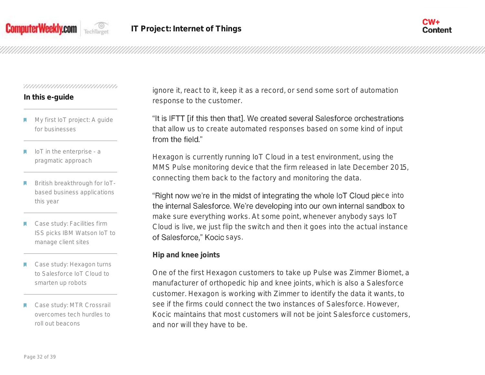



## **In this e-guide**

- My first IoT project: A guide for businesses
- IoT in the enterprise a pragmatic approach
- British breakthrough for IoTbased business applications this year
- Case study: Facilities firm ISS picks IBM Watson IoT to manage client sites
- Case study: Hexagon turns to Salesforce IoT Cloud to smarten up robots
- Case study: MTR Crossrail overcomes tech hurdles to roll out beacons

ignore it, react to it, keep it as a record, or send some sort of automation response to the customer.

"It is IFTT [if this then that]. We created several Salesforce orchestrations that allow us to create automated responses based on some kind of input from the field."

Hexagon is currently running IoT Cloud in a test environment, using the MMS Pulse monitoring device that the firm released in late December 2015, connecting them back to the factory and monitoring the data.

"Right now we're in the midst of integrating the whole IoT Cloud piece into the internal Salesforce. We're developing into our own internal sandbox to make sure everything works. At some point, whenever anybody says IoT Cloud is live, we just flip the switch and then it goes into the actual instance of Salesforce," Kocic says.

**Hip and knee joints**

One of the first Hexagon customers to take up Pulse was Zimmer Biomet, a manufacturer of orthopedic hip and knee joints, which is also a Salesforce customer. Hexagon is working with Zimmer to identify the data it wants, to see if the firms could connect the two instances of Salesforce. However, Kocic maintains that most customers will not be joint Salesforce customers, and nor will they have to be.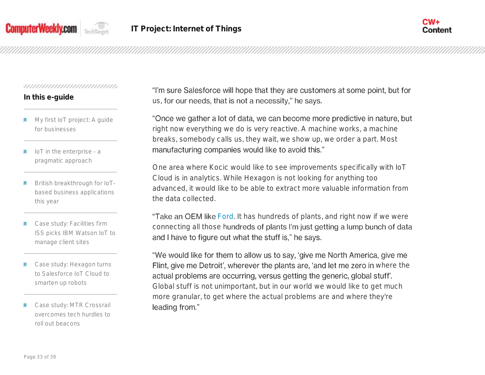



# **In this e-guide**

- My first IoT project: A guide for businesses
- IoT in the enterprise a pragmatic approach
- British breakthrough for IoTbased business applications this year
- Case study: Facilities firm ISS picks IBM Watson IoT to manage client sites
- Case study: Hexagon turns to Salesforce IoT Cloud to smarten up robots
- Case study: MTR Crossrail overcomes tech hurdles to roll out beacons

"I'm sure Salesforce will hope that they are customers at some point, but for us, for our needs, that is not a necessity," he says.

"Once we gather a lot of data, we can become more predictive in nature, but right now everything we do is very reactive. A machine works, a machine breaks, somebody calls us, they wait, we show up, we order a part. Most manufacturing companies would like to avoid this."

One area where Kocic would like to see improvements specifically with IoT Cloud is in analytics. While Hexagon is not looking for anything too advanced, it would like to be able to extract more valuable information from the data collected.

"Take an OEM like [Ford.](http://www.computerweekly.com/news/4500273509/MWC16-Ford-expands-connected-vehicle-ecosystem) It has hundreds of plants, and right now if we were connecting all those hundreds of plants I'm just getting a lump bunch of data and I have to figure out what the stuff is," he says.

"We would like for them to allow us to say, 'give me North America, give me Flint, give me Detroit', wherever the plants are, 'and let me zero in where the actual problems are occurring, versus getting the generic, global stuff. Global stuff is not unimportant, but in our world we would like to get much more granular, to get where the actual problems are and where they're leading from."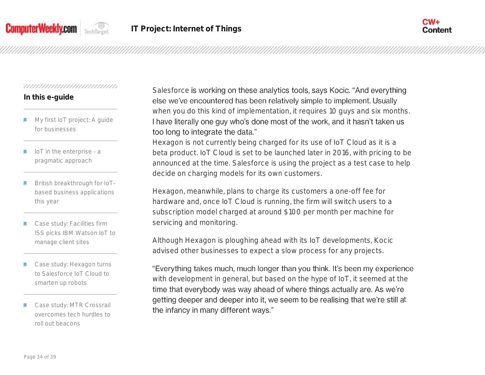



# **In this e-guide**

- My first IoT project: A guide for businesses
- IoT in the enterprise a pragmatic approach
- British breakthrough for IoTbased business applications this year
- Case study: Facilities firm ISS picks IBM Watson IoT to manage client sites
- Case study: Hexagon turns to Salesforce IoT Cloud to smarten up robots
- Case study: MTR Crossrail overcomes tech hurdles to roll out beacons

Salesforce is working on these analytics tools, says Kocic. "And everything else we've encountered has been relatively simple to implement. Usually when you do this kind of implementation, it requires 10 guys and six months. I have literally one guy who's done most of the work, and it hasn't taken us too long to integrate the data."

Hexagon is not currently being charged for its use of IoT Cloud as it is a beta product. IoT Cloud is set to be launched later in 2016, with pricing to be announced at the time. Salesforce is using the project as a test case to help decide on charging models for its own customers.

Hexagon, meanwhile, plans to charge its customers a one-off fee for hardware and, once IoT Cloud is running, the firm will switch users to a subscription model charged at around \$100 per month per machine for servicing and monitoring.

Although Hexagon is ploughing ahead with its IoT developments, Kocic advised other businesses to expect a slow process for any projects.

"Everything takes much, much longer than you think. It's been my experience with development in general, but based on the hype of IoT, it seemed at the time that everybody was way ahead of where things actually are. As we're getting deeper and deeper into it, we seem to be realising that we're still at the infancy in many different ways."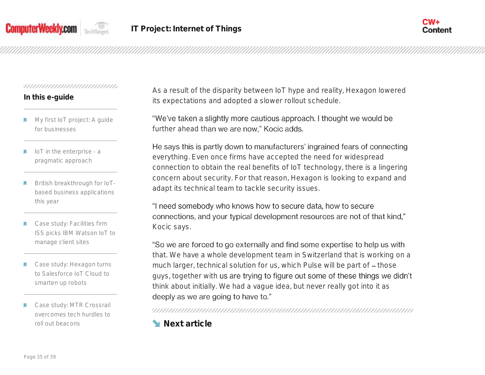



# **In this e-guide**

- My first IoT project: A guide for businesses
- IoT in the enterprise a pragmatic approach
- British breakthrough for IoTbased business applications this year
- Case study: Facilities firm ISS picks IBM Watson IoT to manage client sites
- Case study: Hexagon turns to Salesforce IoT Cloud to smarten up robots
- Case study: MTR Crossrail overcomes tech hurdles to roll out beacons

As a result of the disparity between IoT hype and reality, Hexagon lowered its expectations and adopted a slower rollout schedule.

"We've taken a slightly more cautious approach. I thought we would be further ahead than we are now," Kocic adds.

He says this is partly down to manufacturers' ingrained fears of connecting everything. Even once firms have accepted the need for widespread connection to obtain the real benefits of IoT technology, there is a lingering concern about security. For that reason, Hexagon is looking to expand and adapt its technical team to tackle security issues.

"I need somebody who knows how to secure data, how to secure connections, and your typical development resources are not of that kind," Kocic says.

"So we are forced to go externally and find some expertise to help us with that. We have a whole development team in Switzerland that is working on a much larger, technical solution for us, which Pulse will be part of - those guys, together with us are trying to figure out some of these things we didn't think about initially. We had a vague idea, but never really got into it as deeply as we are going to have to."

**Next article**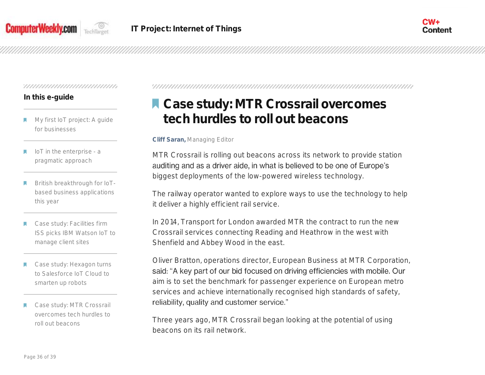



## **In this e-guide**

- My first IoT project: A guide for businesses
- IoT in the enterprise a pragmatic approach
- British breakthrough for IoTbased business applications this year
- Case study: Facilities firm ISS picks IBM Watson IoT to manage client sites
- Case study: Hexagon turns to Salesforce IoT Cloud to smarten up robots
- Case study: MTR Crossrail overcomes tech hurdles to roll out beacons

# **Case study: MTR Crossrail overcomes tech hurdles to roll out beacons**

**Cliff Saran,** Managing Editor

MTR Crossrail is rolling out beacons across its network to provide station auditing and as a driver aide, in what is believed to be one of Europe's biggest deployments of the low-powered wireless technology.

The railway operator wanted to explore ways to use the technology to help it deliver a highly efficient rail service.

In 2014, Transport for London awarded MTR the contract to run the new Crossrail services connecting Reading and Heathrow in the west with Shenfield and Abbey Wood in the east.

Oliver Bratton, operations director, European Business at MTR Corporation, said: "A key part of our bid focused on driving efficiencies with mobile. Our aim is to set the benchmark for passenger experience on European metro services and achieve internationally recognised high standards of safety, reliability, quality and customer service."

Three years ago, MTR Crossrail began looking at the potential of using beacons on its rail network.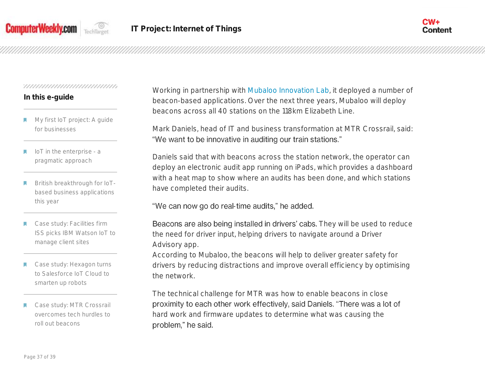



## **In this e-guide**

- My first IoT project: A guide for businesses
- IoT in the enterprise a pragmatic approach
- British breakthrough for IoTbased business applications this year
- Case study: Facilities firm ISS picks IBM Watson IoT to manage client sites
- Case study: Hexagon turns to Salesforce IoT Cloud to smarten up robots
- Case study: MTR Crossrail overcomes tech hurdles to roll out beacons

Working in partnership with [Mubaloo Innovation Lab,](http://www.computerweekly.com/photostory/2240234735/Retail-technology-whats-hot/5/Mubaloo-and-beacons) it deployed a number of beacon-based applications. Over the next three years, Mubaloo will deploy beacons across all 40 stations on the 118km Elizabeth Line.

Mark Daniels, head of IT and business transformation at MTR Crossrail, said: "We want to be innovative in auditing our train stations."

Daniels said that with beacons across the station network, the operator can deploy an electronic audit app running on iPads, which provides a dashboard with a heat map to show where an audits has been done, and which stations have completed their audits.

# "We can now go do real-time audits," he added.

Beacons are also being installed in drivers' cabs. They will be used to reduce the need for driver input, helping drivers to navigate around a Driver Advisory app.

According to Mubaloo, the beacons will help to deliver greater safety for drivers by reducing distractions and improve overall efficiency by optimising the network.

The technical challenge for MTR was how to enable beacons in close proximity to each other work effectively, said Daniels. "There was a lot of hard work and firmware updates to determine what was causing the problem," he said.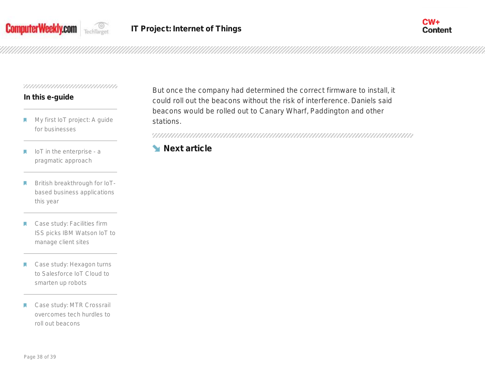



# **In this e-guide**

- My first IoT project: A guide м for businesses
- IoT in the enterprise a М pragmatic approach
- British breakthrough for IoT-П based business applications this year
- Case study: Facilities firm W ISS picks IBM Watson IoT to manage client sites
- Case study: Hexagon turns М to Salesforce IoT Cloud to smarten up robots
- Case study: MTR Crossrail П overcomes tech hurdles to roll out beacons

But once the company had determined the correct firmware to install, it could roll out the beacons without the risk of interference. Daniels said beacons would be rolled out to Canary Wharf, Paddington and other stations.

# **Next article**